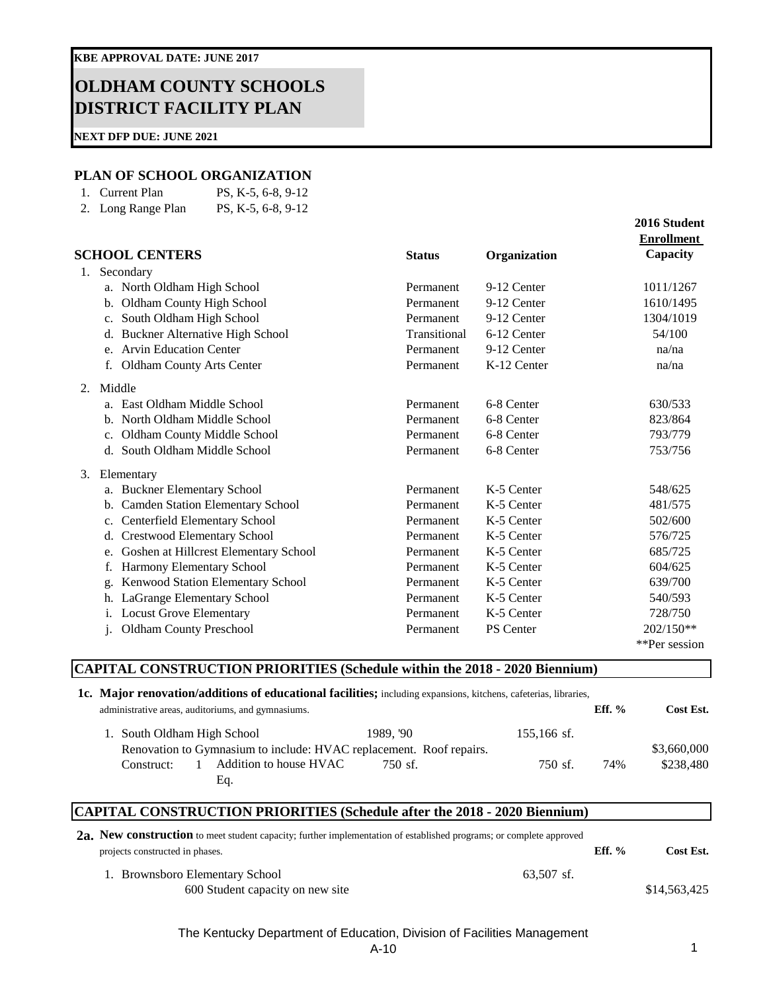# **OLDHAM COUNTY SCHOOLS DISTRICT FACILITY PLAN**

**NEXT DFP DUE: JUNE 2021**

#### **PLAN OF SCHOOL ORGANIZATION**

| 1. Current Plan    | PS, K-5, 6-8, 9-12 |
|--------------------|--------------------|
| 2. Long Range Plan | PS, K-5, 6-8, 9-12 |

|    |                                                        |               |                  | 2016 Student      |
|----|--------------------------------------------------------|---------------|------------------|-------------------|
|    |                                                        |               |                  | <b>Enrollment</b> |
|    | <b>SCHOOL CENTERS</b>                                  | <b>Status</b> | Organization     | Capacity          |
| 1. | Secondary                                              |               |                  |                   |
|    | a. North Oldham High School                            | Permanent     | 9-12 Center      | 1011/1267         |
|    | Oldham County High School<br>$b_{\cdot}$               | Permanent     | 9-12 Center      | 1610/1495         |
|    | South Oldham High School<br>c.                         | Permanent     | 9-12 Center      | 1304/1019         |
|    | Buckner Alternative High School<br>d.                  | Transitional  | 6-12 Center      | 54/100            |
|    | e. Arvin Education Center                              | Permanent     | 9-12 Center      | na/na             |
|    | <b>Oldham County Arts Center</b><br>f.                 | Permanent     | K-12 Center      | na/na             |
|    | 2. Middle                                              |               |                  |                   |
|    | a. East Oldham Middle School                           | Permanent     | 6-8 Center       | 630/533           |
|    | b. North Oldham Middle School                          | Permanent     | 6-8 Center       | 823/864           |
|    | Oldham County Middle School<br>$c_{\cdot}$             | Permanent     | 6-8 Center       | 793/779           |
|    | d. South Oldham Middle School                          | Permanent     | 6-8 Center       | 753/756           |
| 3. | Elementary                                             |               |                  |                   |
|    | a. Buckner Elementary School                           | Permanent     | K-5 Center       | 548/625           |
|    | <b>Camden Station Elementary School</b><br>$b_{\cdot}$ | Permanent     | K-5 Center       | 481/575           |
|    | Centerfield Elementary School<br>c.                    | Permanent     | K-5 Center       | 502/600           |
|    | <b>Crestwood Elementary School</b><br>d.               | Permanent     | K-5 Center       | 576/725           |
|    | Goshen at Hillcrest Elementary School<br>e.            | Permanent     | K-5 Center       | 685/725           |
|    | f.<br>Harmony Elementary School                        | Permanent     | K-5 Center       | 604/625           |
|    | Kenwood Station Elementary School<br>g.                | Permanent     | K-5 Center       | 639/700           |
|    | LaGrange Elementary School<br>h.                       | Permanent     | K-5 Center       | 540/593           |
|    | <b>Locust Grove Elementary</b><br>i.                   | Permanent     | K-5 Center       | 728/750           |
|    | <b>Oldham County Preschool</b><br>j.                   | Permanent     | <b>PS</b> Center | $202/150**$       |
|    |                                                        |               |                  | **Per session     |

## **CAPITAL CONSTRUCTION PRIORITIES (Schedule within the 2018 - 2020 Biennium)**

**1c. Major renovation/additions of educational facilities;** including expansions, kitchens, cafeterias, libraries,

| administrative areas, auditoriums, and gymnasiums. |  |                                                                     |           |                   | $Eff.$ % | Cost Est.   |
|----------------------------------------------------|--|---------------------------------------------------------------------|-----------|-------------------|----------|-------------|
| 1. South Oldham High School                        |  |                                                                     | 1989. '90 | 155,166 sf.       |          |             |
|                                                    |  | Renovation to Gymnasium to include: HVAC replacement. Roof repairs. |           |                   |          | \$3,660,000 |
| Construct:                                         |  | Addition to house HVAC                                              | 750 sf.   | $750 \text{ sf.}$ | 74%      | \$238,480   |
|                                                    |  | Eq.                                                                 |           |                   |          |             |

### **CAPITAL CONSTRUCTION PRIORITIES (Schedule after the 2018 - 2020 Biennium)**

| 2a. New construction to meet student capacity; further implementation of established programs; or complete approved |              |          |              |
|---------------------------------------------------------------------------------------------------------------------|--------------|----------|--------------|
| projects constructed in phases.                                                                                     |              | $Eff.$ % | Cost Est.    |
| 1. Brownsboro Elementary School                                                                                     | $63.507$ sf. |          |              |
| 600 Student capacity on new site                                                                                    |              |          | \$14,563,425 |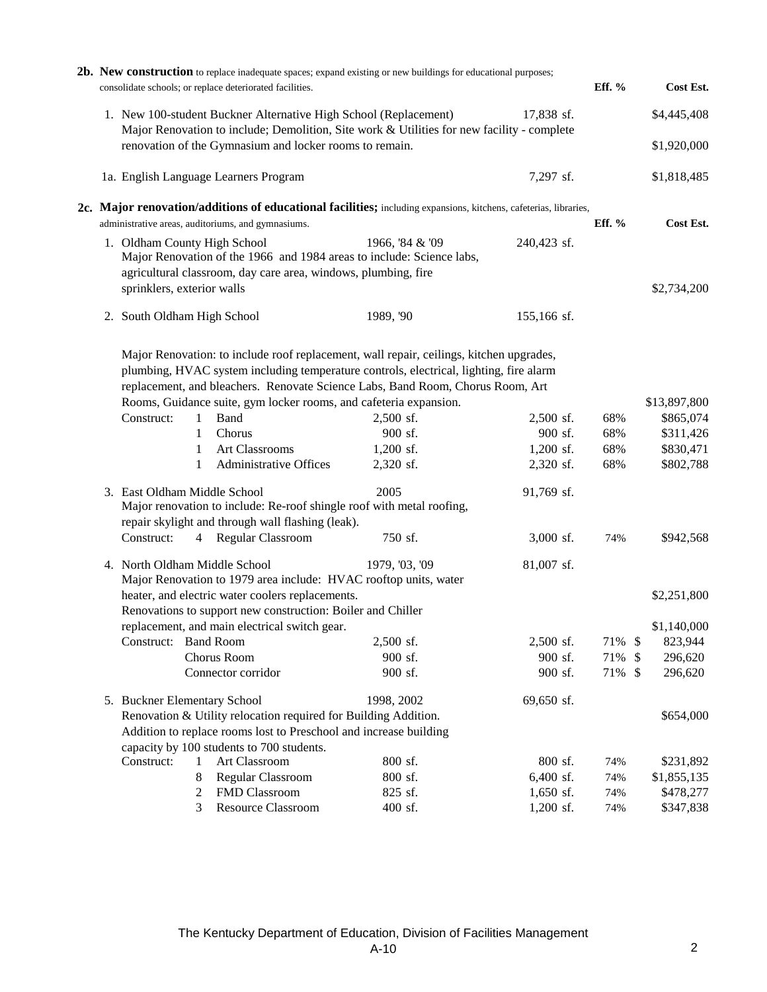|                                                    |                                                            |                  | consolidate schools; or replace deteriorated facilities.                                                                                                                          | 2b. New construction to replace inadequate spaces; expand existing or new buildings for educational purposes;                                                                                                                                                                                                           |                                                | Eff. %                   |    | Cost Est.                                                        |
|----------------------------------------------------|------------------------------------------------------------|------------------|-----------------------------------------------------------------------------------------------------------------------------------------------------------------------------------|-------------------------------------------------------------------------------------------------------------------------------------------------------------------------------------------------------------------------------------------------------------------------------------------------------------------------|------------------------------------------------|--------------------------|----|------------------------------------------------------------------|
|                                                    |                                                            |                  | 1. New 100-student Buckner Alternative High School (Replacement)                                                                                                                  | Major Renovation to include; Demolition, Site work & Utilities for new facility - complete                                                                                                                                                                                                                              | 17,838 sf.                                     |                          |    | \$4,445,408                                                      |
|                                                    |                                                            |                  | renovation of the Gymnasium and locker rooms to remain.                                                                                                                           |                                                                                                                                                                                                                                                                                                                         |                                                |                          |    | \$1,920,000                                                      |
|                                                    |                                                            |                  | 1a. English Language Learners Program                                                                                                                                             |                                                                                                                                                                                                                                                                                                                         | 7,297 sf.                                      |                          |    | \$1,818,485                                                      |
|                                                    |                                                            |                  |                                                                                                                                                                                   | 2c. Major renovation/additions of educational facilities; including expansions, kitchens, cafeterias, libraries,                                                                                                                                                                                                        |                                                | Eff. %                   |    |                                                                  |
| administrative areas, auditoriums, and gymnasiums. |                                                            |                  |                                                                                                                                                                                   |                                                                                                                                                                                                                                                                                                                         |                                                |                          |    | Cost Est.                                                        |
|                                                    | 1. Oldham County High School<br>sprinklers, exterior walls |                  | Major Renovation of the 1966 and 1984 areas to include: Science labs,<br>agricultural classroom, day care area, windows, plumbing, fire                                           | 1966, '84 & '09                                                                                                                                                                                                                                                                                                         | 240,423 sf.                                    |                          |    | \$2,734,200                                                      |
|                                                    | 2. South Oldham High School                                |                  |                                                                                                                                                                                   | 1989, '90                                                                                                                                                                                                                                                                                                               | 155,166 sf.                                    |                          |    |                                                                  |
|                                                    | Construct:                                                 | 1<br>1<br>1<br>1 | Rooms, Guidance suite, gym locker rooms, and cafeteria expansion.<br><b>Band</b><br>Chorus<br>Art Classrooms<br>Administrative Offices                                            | Major Renovation: to include roof replacement, wall repair, ceilings, kitchen upgrades,<br>plumbing, HVAC system including temperature controls, electrical, lighting, fire alarm<br>replacement, and bleachers. Renovate Science Labs, Band Room, Chorus Room, Art<br>2,500 sf.<br>900 sf.<br>$1,200$ sf.<br>2,320 sf. | 2,500 sf.<br>900 sf.<br>1,200 sf.<br>2,320 sf. | 68%<br>68%<br>68%<br>68% |    | \$13,897,800<br>\$865,074<br>\$311,426<br>\$830,471<br>\$802,788 |
|                                                    | 3. East Oldham Middle School                               |                  | Major renovation to include: Re-roof shingle roof with metal roofing,<br>repair skylight and through wall flashing (leak).                                                        | 2005                                                                                                                                                                                                                                                                                                                    | 91,769 sf.                                     |                          |    |                                                                  |
|                                                    | Construct:                                                 |                  | 4 Regular Classroom                                                                                                                                                               | 750 sf.                                                                                                                                                                                                                                                                                                                 | 3,000 sf.                                      | 74%                      |    | \$942,568                                                        |
|                                                    | 4. North Oldham Middle School                              |                  | Major Renovation to 1979 area include: HVAC rooftop units, water                                                                                                                  | 1979, '03, '09                                                                                                                                                                                                                                                                                                          | 81,007 sf.                                     |                          |    |                                                                  |
|                                                    |                                                            |                  | heater, and electric water coolers replacements.<br>Renovations to support new construction: Boiler and Chiller                                                                   |                                                                                                                                                                                                                                                                                                                         |                                                |                          |    | \$2,251,800                                                      |
|                                                    |                                                            |                  | replacement, and main electrical switch gear.                                                                                                                                     |                                                                                                                                                                                                                                                                                                                         |                                                |                          |    | \$1,140,000                                                      |
|                                                    | Construct:                                                 |                  | <b>Band Room</b>                                                                                                                                                                  | 2,500 sf.                                                                                                                                                                                                                                                                                                               | 2,500 sf.                                      | 71% \$                   |    | 823,944                                                          |
|                                                    |                                                            |                  | Chorus Room                                                                                                                                                                       | 900 sf.                                                                                                                                                                                                                                                                                                                 | 900 sf.                                        | 71%                      | \$ | 296,620                                                          |
|                                                    |                                                            |                  | Connector corridor                                                                                                                                                                | 900 sf.                                                                                                                                                                                                                                                                                                                 | 900 sf.                                        | 71% \$                   |    | 296,620                                                          |
|                                                    | 5. Buckner Elementary School                               |                  | Renovation & Utility relocation required for Building Addition.<br>Addition to replace rooms lost to Preschool and increase building<br>capacity by 100 students to 700 students. | 1998, 2002                                                                                                                                                                                                                                                                                                              | 69,650 sf.                                     |                          |    | \$654,000                                                        |
|                                                    | Construct:                                                 | 1                | Art Classroom                                                                                                                                                                     | 800 sf.                                                                                                                                                                                                                                                                                                                 | 800 sf.                                        | 74%                      |    | \$231,892                                                        |
|                                                    |                                                            | 8                | Regular Classroom                                                                                                                                                                 | 800 sf.                                                                                                                                                                                                                                                                                                                 | 6,400 sf.                                      | 74%                      |    | \$1,855,135                                                      |
|                                                    |                                                            | 2                | FMD Classroom                                                                                                                                                                     | 825 sf.                                                                                                                                                                                                                                                                                                                 | 1,650 sf.                                      | 74%                      |    | \$478,277                                                        |
|                                                    |                                                            | 3                | <b>Resource Classroom</b>                                                                                                                                                         | 400 sf.                                                                                                                                                                                                                                                                                                                 | 1,200 sf.                                      | 74%                      |    | \$347,838                                                        |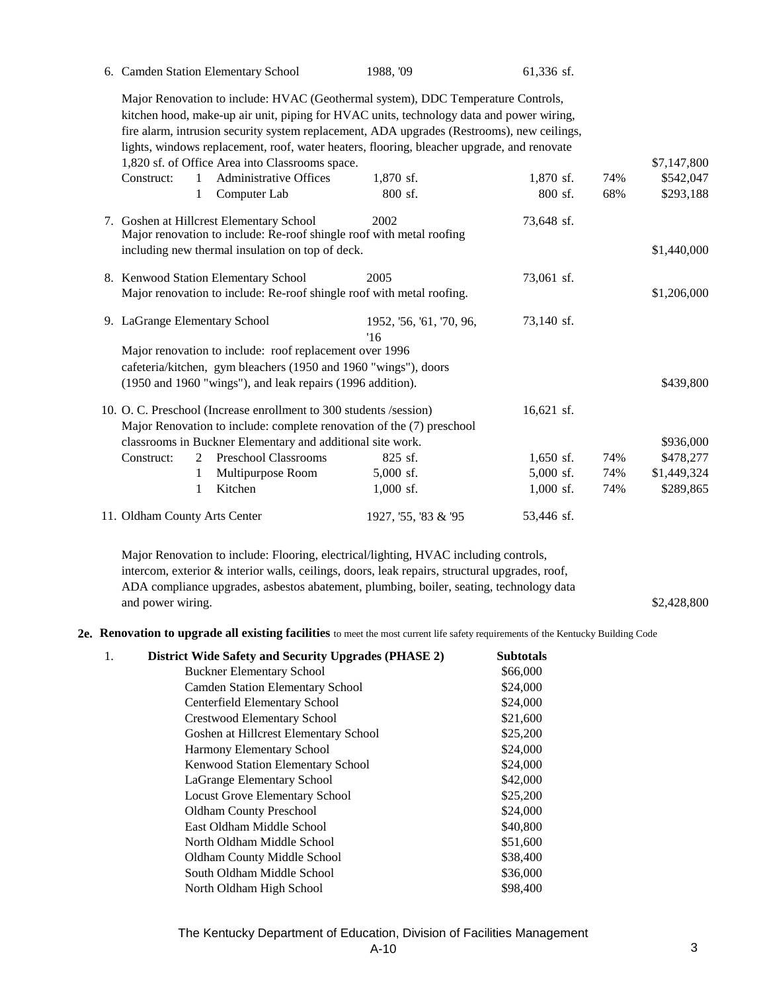#### 6. Camden Station Elementary School 1988, '09 61,336 sf.

\$7,147,800

\$1,440,000

\$2,428,800

Construct: 1 Administrative Offices 1,870 sf. 1,870 sf. 74% \$542,047 1 Computer Lab 800 sf. 800 sf. 68% \$293,188 7. Goshen at Hillcrest Elementary School 2002 73,648 sf. Major Renovation to include: HVAC (Geothermal system), DDC Temperature Controls, kitchen hood, make-up air unit, piping for HVAC units, technology data and power wiring, fire alarm, intrusion security system replacement, ADA upgrades (Restrooms), new ceilings, lights, windows replacement, roof, water heaters, flooring, bleacher upgrade, and renovate 1,820 sf. of Office Area into Classrooms space. Major renovation to include: Re-roof shingle roof with metal roofing including new thermal insulation on top of deck.

|                                                            | 8. Kenwood Station Elementary School<br>Major renovation to include: Re-roof shingle roof with metal roofing. | 73,061 sf.                                                         |                                                                       | \$1,206,000  |     |             |
|------------------------------------------------------------|---------------------------------------------------------------------------------------------------------------|--------------------------------------------------------------------|-----------------------------------------------------------------------|--------------|-----|-------------|
| 9. LaGrange Elementary School                              |                                                                                                               |                                                                    | 1952, '56, '61, '70, 96,<br>16                                        | 73,140 sf.   |     |             |
|                                                            |                                                                                                               | Major renovation to include: roof replacement over 1996            |                                                                       |              |     |             |
|                                                            |                                                                                                               | cafeteria/kitchen, gym bleachers (1950 and 1960 "wings"), doors    |                                                                       |              |     |             |
| (1950 and 1960 "wings"), and leak repairs (1996 addition). |                                                                                                               |                                                                    |                                                                       |              |     | \$439,800   |
|                                                            |                                                                                                               | 10. O. C. Preschool (Increase enrollment to 300 students /session) |                                                                       | $16.621$ sf. |     |             |
|                                                            |                                                                                                               |                                                                    | Major Renovation to include: complete renovation of the (7) preschool |              |     |             |
|                                                            |                                                                                                               | classrooms in Buckner Elementary and additional site work.         |                                                                       |              |     | \$936,000   |
| Construct:                                                 | 2                                                                                                             | Preschool Classrooms                                               | $825$ sf.                                                             | $1,650$ sf.  | 74% | \$478,277   |
|                                                            |                                                                                                               | Multipurpose Room                                                  | $5,000$ sf.                                                           | $5,000$ sf.  | 74% | \$1,449,324 |
|                                                            |                                                                                                               | Kitchen                                                            | $1,000$ sf.                                                           | $1,000$ sf.  | 74% | \$289,865   |

#### 11. Oldham County Arts Center 1927, '55, '83 & '95 53,446 sf. 1927, '55, '83 & '95

Major Renovation to include: Flooring, electrical/lighting, HVAC including controls, intercom, exterior & interior walls, ceilings, doors, leak repairs, structural upgrades, roof, ADA compliance upgrades, asbestos abatement, plumbing, boiler, seating, technology data and power wiring.

**2e. Renovation to upgrade all existing facilities** to meet the most current life safety requirements of the Kentucky Building Code

| 1. | District Wide Safety and Security Upgrades (PHASE 2) | <b>Subtotals</b> |
|----|------------------------------------------------------|------------------|
|    | <b>Buckner Elementary School</b>                     | \$66,000         |
|    | <b>Camden Station Elementary School</b>              | \$24,000         |
|    | Centerfield Elementary School                        | \$24,000         |
|    | <b>Crestwood Elementary School</b>                   | \$21,600         |
|    | Goshen at Hillcrest Elementary School                | \$25,200         |
|    | Harmony Elementary School                            | \$24,000         |
|    | Kenwood Station Elementary School                    | \$24,000         |
|    | LaGrange Elementary School                           | \$42,000         |
|    | <b>Locust Grove Elementary School</b>                | \$25,200         |
|    | <b>Oldham County Preschool</b>                       | \$24,000         |
|    | East Oldham Middle School                            | \$40,800         |
|    | North Oldham Middle School                           | \$51,600         |
|    | <b>Oldham County Middle School</b>                   | \$38,400         |
|    | South Oldham Middle School                           | \$36,000         |
|    | North Oldham High School                             | \$98,400         |

The Kentucky Department of Education, Division of Facilities Management  $A-10$  3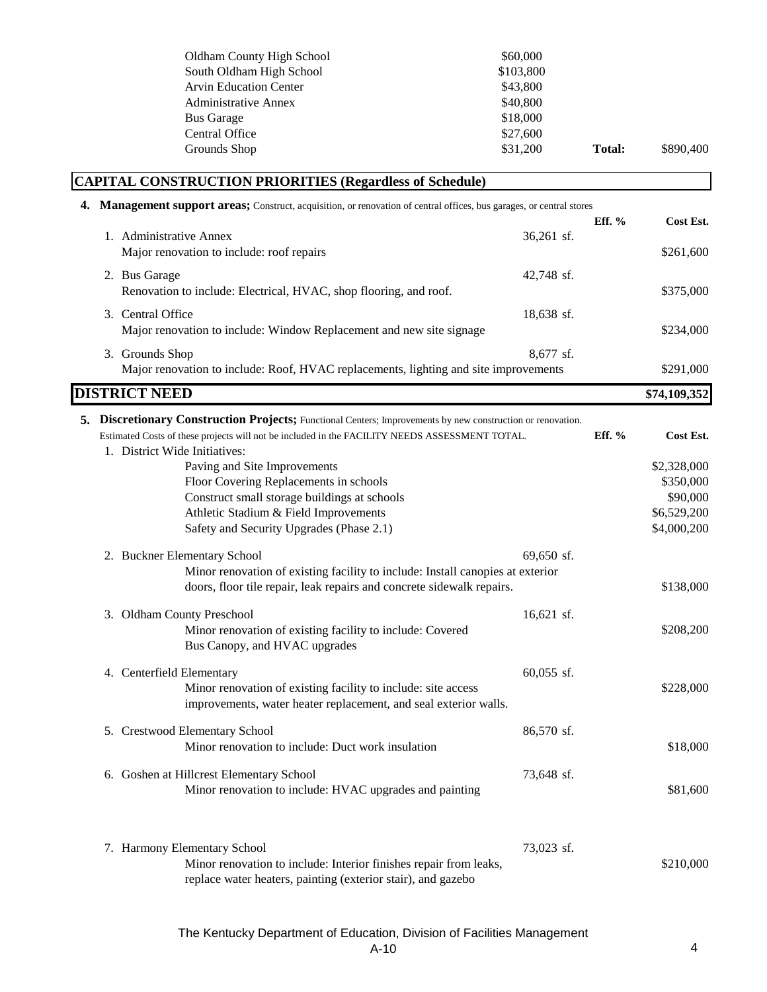|  | Oldham County High School                                                                                             | \$60,000   |               |              |
|--|-----------------------------------------------------------------------------------------------------------------------|------------|---------------|--------------|
|  | South Oldham High School                                                                                              | \$103,800  |               |              |
|  | <b>Arvin Education Center</b>                                                                                         | \$43,800   |               |              |
|  | <b>Administrative Annex</b>                                                                                           | \$40,800   |               |              |
|  | <b>Bus Garage</b>                                                                                                     | \$18,000   |               |              |
|  | Central Office                                                                                                        | \$27,600   |               |              |
|  | Grounds Shop                                                                                                          | \$31,200   | <b>Total:</b> | \$890,400    |
|  | <b>CAPITAL CONSTRUCTION PRIORITIES (Regardless of Schedule)</b>                                                       |            |               |              |
|  | 4. Management support areas; Construct, acquisition, or renovation of central offices, bus garages, or central stores |            |               |              |
|  |                                                                                                                       |            | Eff. %        | Cost Est.    |
|  | 1. Administrative Annex                                                                                               | 36,261 sf. |               |              |
|  | Major renovation to include: roof repairs                                                                             |            |               | \$261,600    |
|  | 2. Bus Garage                                                                                                         | 42,748 sf. |               |              |
|  | Renovation to include: Electrical, HVAC, shop flooring, and roof.                                                     |            |               | \$375,000    |
|  |                                                                                                                       |            |               |              |
|  | 3. Central Office                                                                                                     | 18,638 sf. |               |              |
|  | Major renovation to include: Window Replacement and new site signage                                                  |            |               | \$234,000    |
|  | 3. Grounds Shop                                                                                                       | 8,677 sf.  |               |              |
|  |                                                                                                                       |            |               |              |
|  | Major renovation to include: Roof, HVAC replacements, lighting and site improvements                                  |            |               | \$291,000    |
|  | <b>DISTRICT NEED</b>                                                                                                  |            |               | \$74,109,352 |
|  | 5. Discretionary Construction Projects; Functional Centers; Improvements by new construction or renovation.           |            |               |              |
|  | Estimated Costs of these projects will not be included in the FACILITY NEEDS ASSESSMENT TOTAL.                        |            | Eff. %        | Cost Est.    |
|  | 1. District Wide Initiatives:                                                                                         |            |               |              |
|  | Paving and Site Improvements                                                                                          |            |               | \$2,328,000  |
|  | Floor Covering Replacements in schools                                                                                |            |               | \$350,000    |
|  | Construct small storage buildings at schools                                                                          |            |               | \$90,000     |
|  | Athletic Stadium & Field Improvements                                                                                 |            |               | \$6,529,200  |
|  |                                                                                                                       |            |               |              |
|  | Safety and Security Upgrades (Phase 2.1)                                                                              |            |               | \$4,000,200  |
|  | 2. Buckner Elementary School                                                                                          | 69,650 sf. |               |              |
|  | Minor renovation of existing facility to include: Install canopies at exterior                                        |            |               |              |
|  | doors, floor tile repair, leak repairs and concrete sidewalk repairs.                                                 |            |               | \$138,000    |
|  |                                                                                                                       |            |               |              |
|  | 3. Oldham County Preschool                                                                                            | 16,621 sf. |               |              |
|  | Minor renovation of existing facility to include: Covered                                                             |            |               | \$208,200    |
|  | Bus Canopy, and HVAC upgrades                                                                                         |            |               |              |
|  |                                                                                                                       |            |               |              |
|  | 4. Centerfield Elementary                                                                                             | 60,055 sf. |               |              |
|  | Minor renovation of existing facility to include: site access                                                         |            |               | \$228,000    |
|  | improvements, water heater replacement, and seal exterior walls.                                                      |            |               |              |
|  |                                                                                                                       |            |               |              |
|  | 5. Crestwood Elementary School                                                                                        | 86,570 sf. |               |              |
|  | Minor renovation to include: Duct work insulation                                                                     |            |               | \$18,000     |
|  |                                                                                                                       |            |               |              |
|  | 6. Goshen at Hillcrest Elementary School                                                                              | 73,648 sf. |               |              |
|  | Minor renovation to include: HVAC upgrades and painting                                                               |            |               | \$81,600     |
|  |                                                                                                                       |            |               |              |
|  |                                                                                                                       |            |               |              |
|  | 7. Harmony Elementary School                                                                                          | 73,023 sf. |               |              |
|  | Minor renovation to include: Interior finishes repair from leaks,                                                     |            |               | \$210,000    |
|  | replace water heaters, painting (exterior stair), and gazebo                                                          |            |               |              |